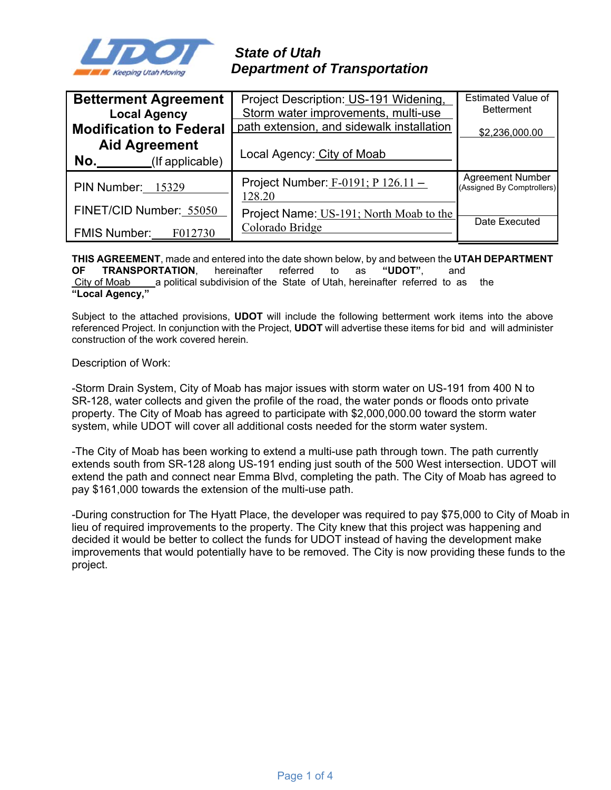

# *State of Utah Department of Transportation*

| <b>Betterment Agreement</b>                    | Project Description: US-191 Widening,             | <b>Estimated Value of</b>                             |
|------------------------------------------------|---------------------------------------------------|-------------------------------------------------------|
| <b>Local Agency</b>                            | Storm water improvements, multi-use               | <b>Betterment</b>                                     |
| <b>Modification to Federal</b>                 | path extension, and sidewalk installation         | \$2,236,000.00                                        |
| <b>Aid Agreement</b><br>No.<br>(If applicable) | Local Agency: City of Moab                        |                                                       |
| PIN Number: 15329                              | Project Number: $F-0191$ ; P $126.11 -$<br>128.20 | <b>Agreement Number</b><br>(Assigned By Comptrollers) |
| FINET/CID Number: 55050                        | Project Name: US-191; North Moab to the           |                                                       |
| <b>FMIS Number:</b><br>F012730                 | Colorado Bridge                                   | Date Executed                                         |

**THIS AGREEMENT**, made and entered into the date shown below, by and between the **UTAH DEPARTMENT OF TRANSPORTATION**, hereinafter referred to as **"UDOT"**, and City of Moab a political subdivision of the State of Utah, hereinafter referred to as the **"Local Agency,"** 

Subject to the attached provisions, **UDOT** will include the following betterment work items into the above referenced Project. In conjunction with the Project, **UDOT** will advertise these items for bid and will administer construction of the work covered herein.

Description of Work:

-Storm Drain System, City of Moab has major issues with storm water on US-191 from 400 N to SR-128, water collects and given the profile of the road, the water ponds or floods onto private property. The City of Moab has agreed to participate with \$2,000,000.00 toward the storm water system, while UDOT will cover all additional costs needed for the storm water system.

-The City of Moab has been working to extend a multi-use path through town. The path currently extends south from SR-128 along US-191 ending just south of the 500 West intersection. UDOT will extend the path and connect near Emma Blvd, completing the path. The City of Moab has agreed to pay \$161,000 towards the extension of the multi-use path.

-During construction for The Hyatt Place, the developer was required to pay \$75,000 to City of Moab in lieu of required improvements to the property. The City knew that this project was happening and decided it would be better to collect the funds for UDOT instead of having the development make improvements that would potentially have to be removed. The City is now providing these funds to the project.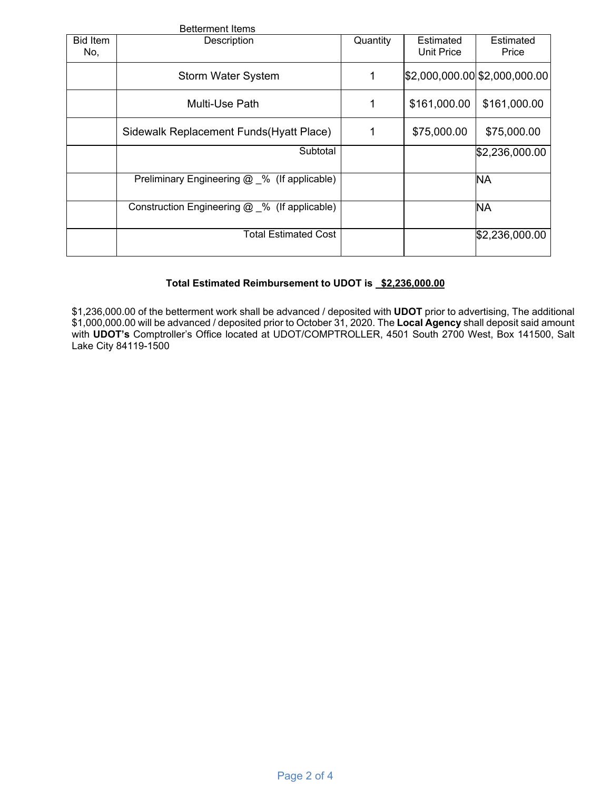|                        | <b>Betterment Items</b>                       |          |                                |                               |  |
|------------------------|-----------------------------------------------|----------|--------------------------------|-------------------------------|--|
| <b>Bid Item</b><br>No, | Description                                   | Quantity | Estimated<br><b>Unit Price</b> | Estimated<br>Price            |  |
|                        | <b>Storm Water System</b>                     | 1        |                                | \$2,000,000.00 \$2,000,000.00 |  |
|                        | Multi-Use Path                                | 1        | \$161,000.00                   | \$161,000.00                  |  |
|                        | Sidewalk Replacement Funds (Hyatt Place)      | 1        | \$75,000.00                    | \$75,000.00                   |  |
|                        | Subtotal                                      |          |                                | \$2,236,000.00                |  |
|                        | Preliminary Engineering @ % (If applicable)   |          |                                | <b>NA</b>                     |  |
|                        | Construction Engineering @ _% (If applicable) |          |                                | <b>NA</b>                     |  |
|                        | <b>Total Estimated Cost</b>                   |          |                                | \$2,236,000.00                |  |

# Total Estimated Reimbursement to UDOT is \$2,236,000.00

\$1,236,000.00 of the betterment work shall be advanced / deposited with **UDOT** prior to advertising, The additional \$1,000,000.00 will be advanced / deposited prior to October 31, 2020. The **Local Agency** shall deposit said amount with **UDOT's** Comptroller's Office located at UDOT/COMPTROLLER, 4501 South 2700 West, Box 141500, Salt Lake City 84119-1500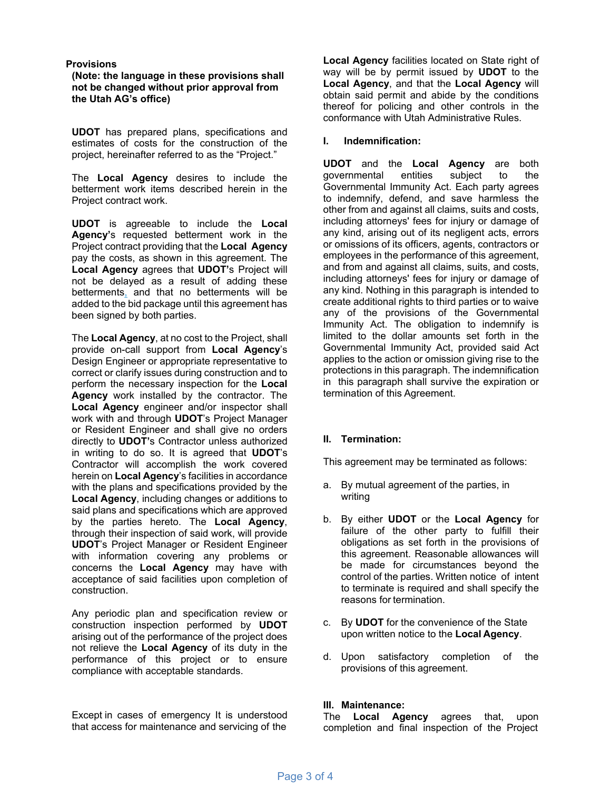## **Provisions**

**(Note: the language in these provisions shall not be changed without prior approval from the Utah AG's office)** 

**UDOT** has prepared plans, specifications and estimates of costs for the construction of the project, hereinafter referred to as the "Project."

The **Local Agency** desires to include the betterment work items described herein in the Project contract work.

**UDOT** is agreeable to include the **Local Agency'**s requested betterment work in the Project contract providing that the **Local Agency**  pay the costs, as shown in this agreement. The **Local Agency** agrees that **UDOT'**s Project will not be delayed as a result of adding these betterments, and that no betterments will be added to the bid package until this agreement has been signed by both parties.

The **Local Agency**, at no cost to the Project, shall provide on-call support from **Local Agency**'s Design Engineer or appropriate representative to correct or clarify issues during construction and to perform the necessary inspection for the **Local Agency** work installed by the contractor. The **Local Agency** engineer and/or inspector shall work with and through **UDOT**'s Project Manager or Resident Engineer and shall give no orders directly to **UDOT'**s Contractor unless authorized in writing to do so. It is agreed that **UDOT**'s Contractor will accomplish the work covered herein on **Local Agency**'s facilities in accordance with the plans and specifications provided by the **Local Agency**, including changes or additions to said plans and specifications which are approved by the parties hereto. The **Local Agency**, through their inspection of said work, will provide **UDOT**'s Project Manager or Resident Engineer with information covering any problems or concerns the **Local Agency** may have with acceptance of said facilities upon completion of construction.

Any periodic plan and specification review or construction inspection performed by **UDOT**  arising out of the performance of the project does not relieve the **Local Agency** of its duty in the performance of this project or to ensure compliance with acceptable standards.

Except in cases of emergency It is understood that access for maintenance and servicing of the

**Local Agency** facilities located on State right of way will be by permit issued by **UDOT** to the **Local Agency**, and that the **Local Agency** will obtain said permit and abide by the conditions thereof for policing and other controls in the conformance with Utah Administrative Rules.

#### **I. Indemnification:**

**UDOT** and the **Local Agency** are both governmental entities subject to the Governmental Immunity Act. Each party agrees to indemnify, defend, and save harmless the other from and against all claims, suits and costs, including attorneys' fees for injury or damage of any kind, arising out of its negligent acts, errors or omissions of its officers, agents, contractors or employees in the performance of this agreement, and from and against all claims, suits, and costs, including attorneys' fees for injury or damage of any kind. Nothing in this paragraph is intended to create additional rights to third parties or to waive any of the provisions of the Governmental Immunity Act. The obligation to indemnify is limited to the dollar amounts set forth in the Governmental Immunity Act, provided said Act applies to the action or omission giving rise to the protections in this paragraph. The indemnification in this paragraph shall survive the expiration or termination of this Agreement.

## **II. Termination:**

This agreement may be terminated as follows:

- a. By mutual agreement of the parties, in writing
- b. By either **UDOT** or the **Local Agency** for failure of the other party to fulfill their obligations as set forth in the provisions of this agreement. Reasonable allowances will be made for circumstances beyond the control of the parties. Written notice of intent to terminate is required and shall specify the reasons for termination.
- c. By **UDOT** for the convenience of the State upon written notice to the **Local Agency**.
- d. Upon satisfactory completion of the provisions of this agreement.

#### **III. Maintenance:**

The **Local Agency** agrees that, upon completion and final inspection of the Project